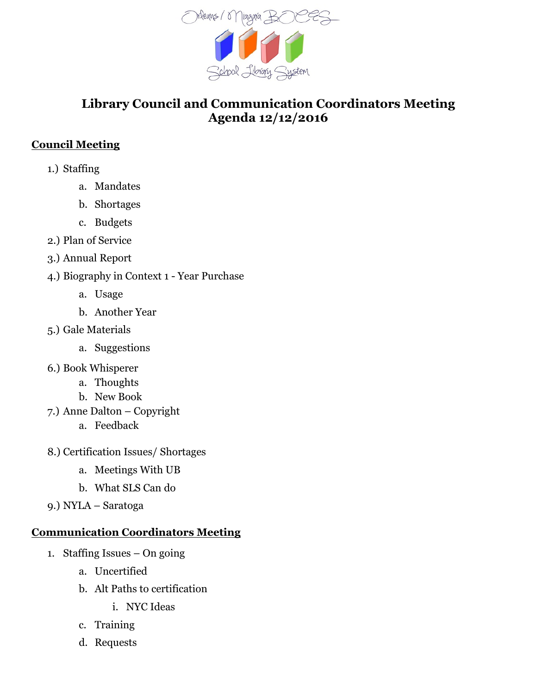

## **Library Council and Communication Coordinators Meeting Agenda 12/12/2016**

## **Council Meeting**

- 1.) Staffing
	- a. Mandates
	- b. Shortages
	- c. Budgets
- 2.) Plan of Service
- 3.) Annual Report
- 4.) Biography in Context 1 Year Purchase
	- a. Usage
	- b. Another Year
- 5.) Gale Materials
	- a. Suggestions
- 6.) Book Whisperer
	- a. Thoughts
	- b. New Book
- 7.) Anne Dalton Copyright
	- a. Feedback
- 8.) Certification Issues/ Shortages
	- a. Meetings With UB
	- b. What SLS Can do
- 9.) NYLA Saratoga

## **Communication Coordinators Meeting**

- 1. Staffing Issues On going
	- a. Uncertified
	- b. Alt Paths to certification
		- i. NYC Ideas
	- c. Training
	- d. Requests